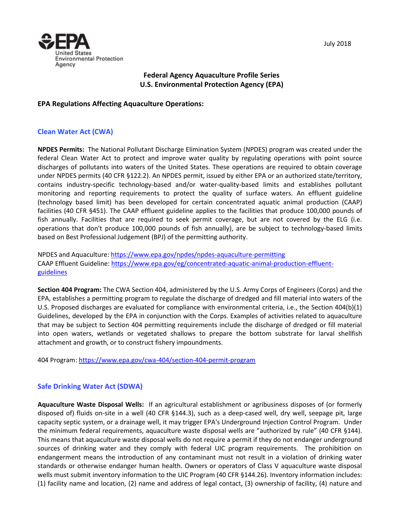



# **Federal Agency Aquaculture Profile Series U.S. Environmental Protection Agency (EPA)**

### **EPA Regulations Affecting Aquaculture Operations:**

## **Clean Water Act (CWA)**

**NPDES Permits:** The National Pollutant Discharge Elimination System (NPDES) program was created under the federal Clean Water Act to protect and improve water quality by regulating operations with point source discharges of pollutants into waters of the United States. These operations are required to obtain coverage under NPDES permits (40 CFR §122.2). An NPDES permit, issued by either EPA or an authorized state/territory, contains industry-specific technology-based and/or water-quality-based limits and establishes pollutant monitoring and reporting requirements to protect the quality of surface waters. An effluent guideline (technology based limit) has been developed for certain concentrated aquatic animal production (CAAP) facilities (40 CFR §451). The CAAP effluent guideline applies to the facilities that produce 100,000 pounds of fish annually. Facilities that are required to seek permit coverage, but are not covered by the ELG (i.e. operations that don't produce 100,000 pounds of fish annually), are be subject to technology-based limits based on Best Professional Judgement (BPJ) of the permitting authority.

NPDES and Aquaculture[: https://www.epa.gov/npdes/npdes-aquaculture-permitting](https://www.epa.gov/npdes/npdes-aquaculture-permitting) CAAP Effluent Guideline: [https://www.epa.gov/eg/concentrated-aquatic-animal-production-effluent](https://www.epa.gov/eg/concentrated-aquatic-animal-production-effluent-guidelines)[guidelines](https://www.epa.gov/eg/concentrated-aquatic-animal-production-effluent-guidelines)

**Section 404 Program:** The CWA Section 404, administered by the U.S. Army Corps of Engineers (Corps) and the EPA, establishes a permitting program to regulate the discharge of dredged and fill material into waters of the U.S. Proposed discharges are evaluated for compliance with environmental criteria, i.e., the Section 404(b)(1) Guidelines, developed by the EPA in conjunction with the Corps. Examples of activities related to aquaculture that may be subject to Section 404 permitting requirements include the discharge of dredged or fill material into open waters, wetlands or vegetated shallows to prepare the bottom substrate for larval shellfish attachment and growth, or to construct fishery impoundments.

404 Program[: https://www.epa.gov/cwa-404/section-404-permit-program](https://www.epa.gov/cwa-404/section-404-permit-program)

#### **Safe Drinking Water Act (SDWA)**

**Aquaculture Waste Disposal Wells:** If an agricultural establishment or agribusiness disposes of (or formerly disposed of) fluids on-site in a well (40 CFR §144.3), such as a deep-cased well, dry well, seepage pit, large capacity septic system, or a drainage well, it may trigger EPA's Underground Injection Control Program. Under the minimum federal requirements, aquaculture waste disposal wells are "authorized by rule" (40 CFR §144). This means that aquaculture waste disposal wells do not require a permit if they do not endanger underground sources of drinking water and they comply with federal UIC program requirements. The prohibition on endangerment means the introduction of any contaminant must not result in a violation of drinking water standards or otherwise endanger human health. Owners or operators of Class V aquaculture waste disposal wells must submit inventory information to the UIC Program (40 CFR §144.26). Inventory information includes: (1) facility name and location, (2) name and address of legal contact, (3) ownership of facility, (4) nature and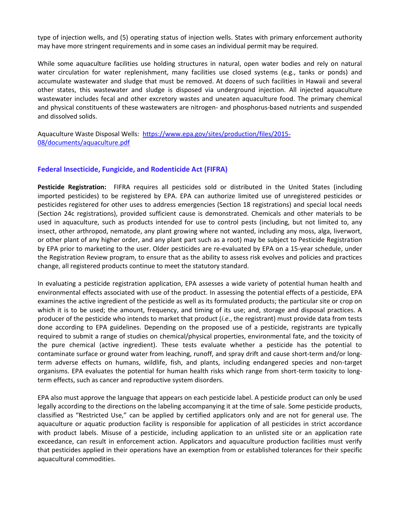type of injection wells, and (5) operating status of injection wells. States with primary enforcement authority may have more stringent requirements and in some cases an individual permit may be required.

While some aquaculture facilities use holding structures in natural, open water bodies and rely on natural water circulation for water replenishment, many facilities use closed systems (e.g., tanks or ponds) and accumulate wastewater and sludge that must be removed. At dozens of such facilities in Hawaii and several other states, this wastewater and sludge is disposed via underground injection. All injected aquaculture wastewater includes fecal and other excretory wastes and uneaten aquaculture food. The primary chemical and physical constituents of these wastewaters are nitrogen- and phosphorus-based nutrients and suspended and dissolved solids.

Aquaculture Waste Disposal Wells: [https://www.epa.gov/sites/production/files/2015-](https://www.epa.gov/sites/production/files/2015-08/documents/aquaculture.pdf) [08/documents/aquaculture.pdf](https://www.epa.gov/sites/production/files/2015-08/documents/aquaculture.pdf)

#### **Federal Insecticide, Fungicide, and Rodenticide Act (FIFRA)**

**Pesticide Registration:** FIFRA requires all pesticides sold or distributed in the United States (including imported pesticides) to be registered by EPA. EPA can authorize limited use of unregistered pesticides or pesticides registered for other uses to address emergencies (Section 18 registrations) and special local needs (Section 24c registrations), provided sufficient cause is demonstrated. Chemicals and other materials to be used in aquaculture, such as products intended for use to control pests (including, but not limited to, any insect, other arthropod, nematode, any plant growing where not wanted, including any moss, alga, liverwort, or other plant of any higher order, and any plant part such as a root) may be subject to Pesticide Registration by EPA prior to marketing to the user. Older pesticides are re-evaluated by EPA on a 15-year schedule, under the Registration Review program, to ensure that as the ability to assess risk evolves and policies and practices change, all registered products continue to meet the statutory standard.

In evaluating a pesticide registration application, EPA assesses a wide variety of potential human health and environmental effects associated with use of the product. In assessing the potential effects of a pesticide, EPA examines the active ingredient of the pesticide as well as its formulated products; the particular site or crop on which it is to be used; the amount, frequency, and timing of its use; and, storage and disposal practices. A producer of the pesticide who intends to market that product (*i.e*., the registrant) must provide data from tests done according to EPA guidelines. Depending on the proposed use of a pesticide, registrants are typically required to submit a range of studies on chemical/physical properties, environmental fate, and the toxicity of the pure chemical (active ingredient). These tests evaluate whether a pesticide has the potential to contaminate surface or ground water from leaching, runoff, and spray drift and cause short-term and/or longterm adverse effects on humans, wildlife, fish, and plants, including endangered species and non-target organisms. EPA evaluates the potential for human health risks which range from short-term toxicity to longterm effects, such as cancer and reproductive system disorders.

EPA also must approve the language that appears on each pesticide label. A pesticide product can only be used legally according to the directions on the labeling accompanying it at the time of sale. Some pesticide products, classified as "Restricted Use," can be applied by certified applicators only and are not for general use. The aquaculture or aquatic production facility is responsible for application of all pesticides in strict accordance with product labels. Misuse of a pesticide, including application to an unlisted site or an application rate exceedance, can result in enforcement action. Applicators and aquaculture production facilities must verify that pesticides applied in their operations have an exemption from or established tolerances for their specific aquacultural commodities.